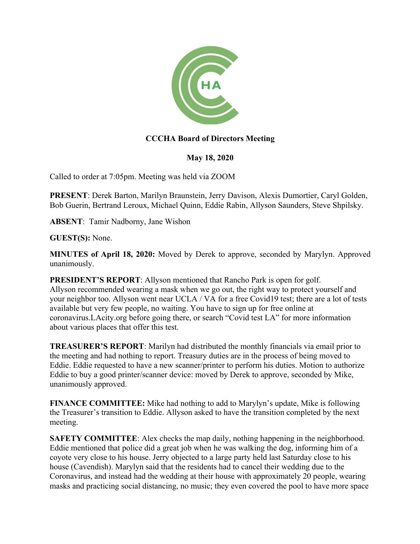

# **CCCHA Board of Directors Meeting**

## **May 18, 2020**

Called to order at 7:05pm. Meeting was held via ZOOM

**PRESENT**: Derek Barton, Marilyn Braunstein, Jerry Davison, Alexis Dumortier, Caryl Golden, Bob Guerin, Bertrand Leroux, Michael Quinn, Eddie Rabin, Allyson Saunders, Steve Shpilsky.

**ABSENT**: Tamir Nadborny, Jane Wishon

**GUEST(S):** None.

**MINUTES of April 18, 2020:** Moved by Derek to approve, seconded by Marylyn. Approved unanimously.

**PRESIDENT'S REPORT**: Allyson mentioned that Rancho Park is open for golf. Allyson recommended wearing a mask when we go out, the right way to protect yourself and your neighbor too. Allyson went near UCLA / VA for a free Covid19 test; there are a lot of tests available but very few people, no waiting. You have to sign up for free online at coronavirus.LAcity.org before going there, or search "Covid test LA" for more information about various places that offer this test.

**TREASURER'S REPORT**: Marilyn had distributed the monthly financials via email prior to the meeting and had nothing to report. Treasury duties are in the process of being moved to Eddie. Eddie requested to have a new scanner/printer to perform his duties. Motion to authorize Eddie to buy a good printer/scanner device: moved by Derek to approve, seconded by Mike, unanimously approved.

**FINANCE COMMITTEE:** Mike had nothing to add to Marylyn's update, Mike is following the Treasurer's transition to Eddie. Allyson asked to have the transition completed by the next meeting.

**SAFETY COMMITTEE:** Alex checks the map daily, nothing happening in the neighborhood. Eddie mentioned that police did a great job when he was walking the dog, informing him of a coyote very close to his house. Jerry objected to a large party held last Saturday close to his house (Cavendish). Marylyn said that the residents had to cancel their wedding due to the Coronavirus, and instead had the wedding at their house with approximately 20 people, wearing masks and practicing social distancing, no music; they even covered the pool to have more space